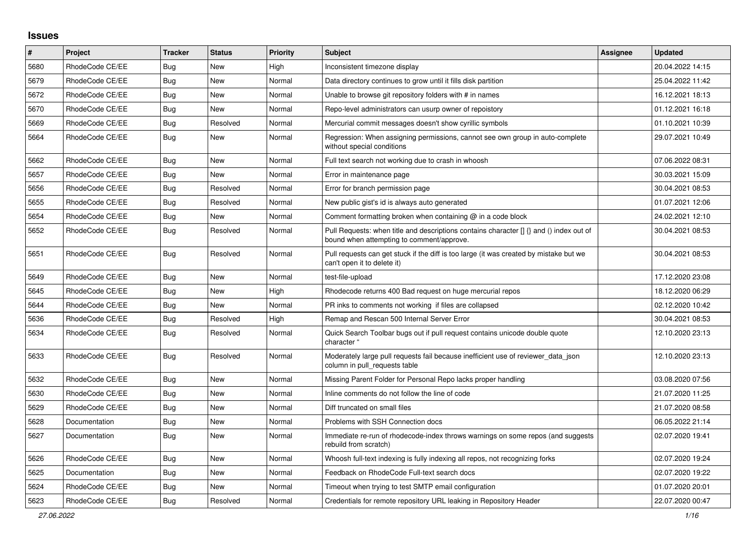## **Issues**

| #    | Project         | <b>Tracker</b> | <b>Status</b> | Priority | <b>Subject</b>                                                                                                                       | Assignee | <b>Updated</b>   |
|------|-----------------|----------------|---------------|----------|--------------------------------------------------------------------------------------------------------------------------------------|----------|------------------|
| 5680 | RhodeCode CE/EE | Bug            | <b>New</b>    | High     | Inconsistent timezone display                                                                                                        |          | 20.04.2022 14:15 |
| 5679 | RhodeCode CE/EE | <b>Bug</b>     | <b>New</b>    | Normal   | Data directory continues to grow until it fills disk partition                                                                       |          | 25.04.2022 11:42 |
| 5672 | RhodeCode CE/EE | <b>Bug</b>     | <b>New</b>    | Normal   | Unable to browse git repository folders with # in names                                                                              |          | 16.12.2021 18:13 |
| 5670 | RhodeCode CE/EE | Bug            | New           | Normal   | Repo-level administrators can usurp owner of repoistory                                                                              |          | 01.12.2021 16:18 |
| 5669 | RhodeCode CE/EE | <b>Bug</b>     | Resolved      | Normal   | Mercurial commit messages doesn't show cyrillic symbols                                                                              |          | 01.10.2021 10:39 |
| 5664 | RhodeCode CE/EE | <b>Bug</b>     | New           | Normal   | Regression: When assigning permissions, cannot see own group in auto-complete<br>without special conditions                          |          | 29.07.2021 10:49 |
| 5662 | RhodeCode CE/EE | Bug            | <b>New</b>    | Normal   | Full text search not working due to crash in whoosh                                                                                  |          | 07.06.2022 08:31 |
| 5657 | RhodeCode CE/EE | <b>Bug</b>     | New           | Normal   | Error in maintenance page                                                                                                            |          | 30.03.2021 15:09 |
| 5656 | RhodeCode CE/EE | <b>Bug</b>     | Resolved      | Normal   | Error for branch permission page                                                                                                     |          | 30.04.2021 08:53 |
| 5655 | RhodeCode CE/EE | <b>Bug</b>     | Resolved      | Normal   | New public gist's id is always auto generated                                                                                        |          | 01.07.2021 12:06 |
| 5654 | RhodeCode CE/EE | <b>Bug</b>     | New           | Normal   | Comment formatting broken when containing $@$ in a code block                                                                        |          | 24.02.2021 12:10 |
| 5652 | RhodeCode CE/EE | Bug            | Resolved      | Normal   | Pull Requests: when title and descriptions contains character [] {} and () index out of<br>bound when attempting to comment/approve. |          | 30.04.2021 08:53 |
| 5651 | RhodeCode CE/EE | Bug            | Resolved      | Normal   | Pull requests can get stuck if the diff is too large (it was created by mistake but we<br>can't open it to delete it)                |          | 30.04.2021 08:53 |
| 5649 | RhodeCode CE/EE | <b>Bug</b>     | New           | Normal   | test-file-upload                                                                                                                     |          | 17.12.2020 23:08 |
| 5645 | RhodeCode CE/EE | <b>Bug</b>     | New           | High     | Rhodecode returns 400 Bad request on huge mercurial repos                                                                            |          | 18.12.2020 06:29 |
| 5644 | RhodeCode CE/EE | Bug            | New           | Normal   | PR inks to comments not working if files are collapsed                                                                               |          | 02.12.2020 10:42 |
| 5636 | RhodeCode CE/EE | <b>Bug</b>     | Resolved      | High     | Remap and Rescan 500 Internal Server Error                                                                                           |          | 30.04.2021 08:53 |
| 5634 | RhodeCode CE/EE | Bug            | Resolved      | Normal   | Quick Search Toolbar bugs out if pull request contains unicode double quote<br>character '                                           |          | 12.10.2020 23:13 |
| 5633 | RhodeCode CE/EE | Bug            | Resolved      | Normal   | Moderately large pull requests fail because inefficient use of reviewer data json<br>column in pull_requests table                   |          | 12.10.2020 23:13 |
| 5632 | RhodeCode CE/EE | Bug            | New           | Normal   | Missing Parent Folder for Personal Repo lacks proper handling                                                                        |          | 03.08.2020 07:56 |
| 5630 | RhodeCode CE/EE | <b>Bug</b>     | New           | Normal   | Inline comments do not follow the line of code                                                                                       |          | 21.07.2020 11:25 |
| 5629 | RhodeCode CE/EE | Bug            | New           | Normal   | Diff truncated on small files                                                                                                        |          | 21.07.2020 08:58 |
| 5628 | Documentation   | Bug            | New           | Normal   | Problems with SSH Connection docs                                                                                                    |          | 06.05.2022 21:14 |
| 5627 | Documentation   | <b>Bug</b>     | <b>New</b>    | Normal   | Immediate re-run of rhodecode-index throws warnings on some repos (and suggests<br>rebuild from scratch)                             |          | 02.07.2020 19:41 |
| 5626 | RhodeCode CE/EE | Bug            | New           | Normal   | Whoosh full-text indexing is fully indexing all repos, not recognizing forks                                                         |          | 02.07.2020 19:24 |
| 5625 | Documentation   | <b>Bug</b>     | New           | Normal   | Feedback on RhodeCode Full-text search docs                                                                                          |          | 02.07.2020 19:22 |
| 5624 | RhodeCode CE/EE | <b>Bug</b>     | New           | Normal   | Timeout when trying to test SMTP email configuration                                                                                 |          | 01.07.2020 20:01 |
| 5623 | RhodeCode CE/EE | Bug            | Resolved      | Normal   | Credentials for remote repository URL leaking in Repository Header                                                                   |          | 22.07.2020 00:47 |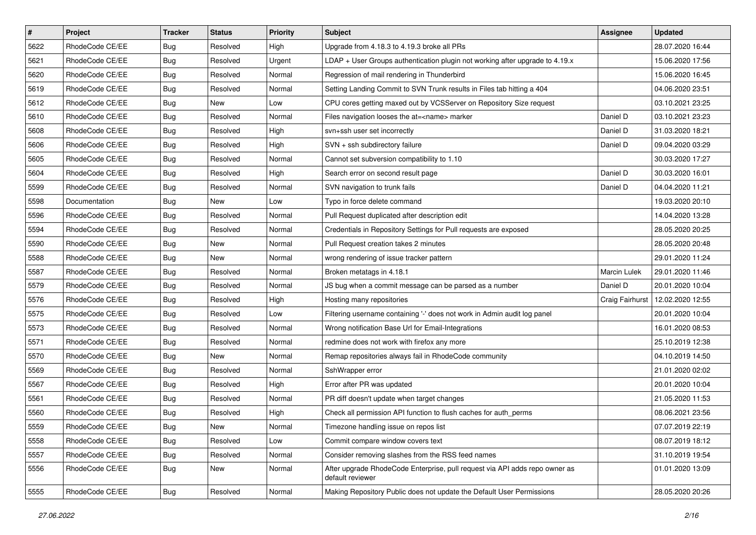| $\pmb{\#}$ | Project         | <b>Tracker</b> | <b>Status</b> | <b>Priority</b> | <b>Subject</b>                                                                                  | <b>Assignee</b>     | <b>Updated</b>   |
|------------|-----------------|----------------|---------------|-----------------|-------------------------------------------------------------------------------------------------|---------------------|------------------|
| 5622       | RhodeCode CE/EE | <b>Bug</b>     | Resolved      | High            | Upgrade from 4.18.3 to 4.19.3 broke all PRs                                                     |                     | 28.07.2020 16:44 |
| 5621       | RhodeCode CE/EE | <b>Bug</b>     | Resolved      | Urgent          | LDAP + User Groups authentication plugin not working after upgrade to 4.19.x                    |                     | 15.06.2020 17:56 |
| 5620       | RhodeCode CE/EE | <b>Bug</b>     | Resolved      | Normal          | Regression of mail rendering in Thunderbird                                                     |                     | 15.06.2020 16:45 |
| 5619       | RhodeCode CE/EE | Bug            | Resolved      | Normal          | Setting Landing Commit to SVN Trunk results in Files tab hitting a 404                          |                     | 04.06.2020 23:51 |
| 5612       | RhodeCode CE/EE | Bug            | <b>New</b>    | Low             | CPU cores getting maxed out by VCSServer on Repository Size request                             |                     | 03.10.2021 23:25 |
| 5610       | RhodeCode CE/EE | Bug            | Resolved      | Normal          | Files navigation looses the at= <name> marker</name>                                            | Daniel D            | 03.10.2021 23:23 |
| 5608       | RhodeCode CE/EE | Bug            | Resolved      | High            | svn+ssh user set incorrectly                                                                    | Daniel D            | 31.03.2020 18:21 |
| 5606       | RhodeCode CE/EE | Bug            | Resolved      | High            | SVN + ssh subdirectory failure                                                                  | Daniel D            | 09.04.2020 03:29 |
| 5605       | RhodeCode CE/EE | <b>Bug</b>     | Resolved      | Normal          | Cannot set subversion compatibility to 1.10                                                     |                     | 30.03.2020 17:27 |
| 5604       | RhodeCode CE/EE | Bug            | Resolved      | High            | Search error on second result page                                                              | Daniel D            | 30.03.2020 16:01 |
| 5599       | RhodeCode CE/EE | Bug            | Resolved      | Normal          | SVN navigation to trunk fails                                                                   | Daniel D            | 04.04.2020 11:21 |
| 5598       | Documentation   | Bug            | New           | Low             | Typo in force delete command                                                                    |                     | 19.03.2020 20:10 |
| 5596       | RhodeCode CE/EE | <b>Bug</b>     | Resolved      | Normal          | Pull Request duplicated after description edit                                                  |                     | 14.04.2020 13:28 |
| 5594       | RhodeCode CE/EE | <b>Bug</b>     | Resolved      | Normal          | Credentials in Repository Settings for Pull requests are exposed                                |                     | 28.05.2020 20:25 |
| 5590       | RhodeCode CE/EE | <b>Bug</b>     | New           | Normal          | Pull Request creation takes 2 minutes                                                           |                     | 28.05.2020 20:48 |
| 5588       | RhodeCode CE/EE | Bug            | New           | Normal          | wrong rendering of issue tracker pattern                                                        |                     | 29.01.2020 11:24 |
| 5587       | RhodeCode CE/EE | <b>Bug</b>     | Resolved      | Normal          | Broken metatags in 4.18.1                                                                       | <b>Marcin Lulek</b> | 29.01.2020 11:46 |
| 5579       | RhodeCode CE/EE | Bug            | Resolved      | Normal          | JS bug when a commit message can be parsed as a number                                          | Daniel D            | 20.01.2020 10:04 |
| 5576       | RhodeCode CE/EE | <b>Bug</b>     | Resolved      | High            | Hosting many repositories                                                                       | Craig Fairhurst     | 12.02.2020 12:55 |
| 5575       | RhodeCode CE/EE | <b>Bug</b>     | Resolved      | Low             | Filtering username containing '-' does not work in Admin audit log panel                        |                     | 20.01.2020 10:04 |
| 5573       | RhodeCode CE/EE | Bug            | Resolved      | Normal          | Wrong notification Base Url for Email-Integrations                                              |                     | 16.01.2020 08:53 |
| 5571       | RhodeCode CE/EE | <b>Bug</b>     | Resolved      | Normal          | redmine does not work with firefox any more                                                     |                     | 25.10.2019 12:38 |
| 5570       | RhodeCode CE/EE | Bug            | <b>New</b>    | Normal          | Remap repositories always fail in RhodeCode community                                           |                     | 04.10.2019 14:50 |
| 5569       | RhodeCode CE/EE | Bug            | Resolved      | Normal          | SshWrapper error                                                                                |                     | 21.01.2020 02:02 |
| 5567       | RhodeCode CE/EE | <b>Bug</b>     | Resolved      | High            | Error after PR was updated                                                                      |                     | 20.01.2020 10:04 |
| 5561       | RhodeCode CE/EE | Bug            | Resolved      | Normal          | PR diff doesn't update when target changes                                                      |                     | 21.05.2020 11:53 |
| 5560       | RhodeCode CE/EE | <b>Bug</b>     | Resolved      | High            | Check all permission API function to flush caches for auth perms                                |                     | 08.06.2021 23:56 |
| 5559       | RhodeCode CE/EE | <b>Bug</b>     | New           | Normal          | Timezone handling issue on repos list                                                           |                     | 07.07.2019 22:19 |
| 5558       | RhodeCode CE/EE | Bug            | Resolved      | Low             | Commit compare window covers text                                                               |                     | 08.07.2019 18:12 |
| 5557       | RhodeCode CE/EE | <b>Bug</b>     | Resolved      | Normal          | Consider removing slashes from the RSS feed names                                               |                     | 31.10.2019 19:54 |
| 5556       | RhodeCode CE/EE | Bug            | New           | Normal          | After upgrade RhodeCode Enterprise, pull request via API adds repo owner as<br>default reviewer |                     | 01.01.2020 13:09 |
| 5555       | RhodeCode CE/EE | <b>Bug</b>     | Resolved      | Normal          | Making Repository Public does not update the Default User Permissions                           |                     | 28.05.2020 20:26 |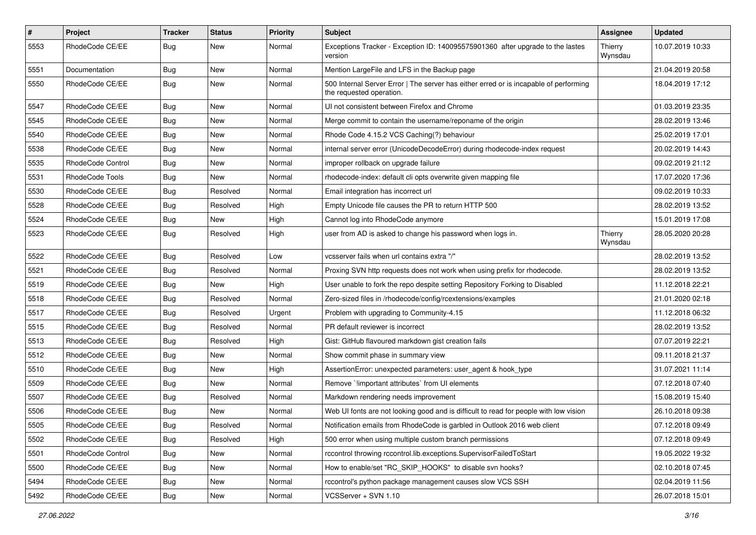| $\pmb{\#}$ | <b>Project</b>    | <b>Tracker</b> | <b>Status</b> | <b>Priority</b> | <b>Subject</b>                                                                                                    | Assignee           | <b>Updated</b>   |
|------------|-------------------|----------------|---------------|-----------------|-------------------------------------------------------------------------------------------------------------------|--------------------|------------------|
| 5553       | RhodeCode CE/EE   | Bug            | New           | Normal          | Exceptions Tracker - Exception ID: 140095575901360 after upgrade to the lastes<br>version                         | Thierry<br>Wynsdau | 10.07.2019 10:33 |
| 5551       | Documentation     | Bug            | New           | Normal          | Mention LargeFile and LFS in the Backup page                                                                      |                    | 21.04.2019 20:58 |
| 5550       | RhodeCode CE/EE   | Bug            | New           | Normal          | 500 Internal Server Error   The server has either erred or is incapable of performing<br>the requested operation. |                    | 18.04.2019 17:12 |
| 5547       | RhodeCode CE/EE   | Bug            | <b>New</b>    | Normal          | UI not consistent between Firefox and Chrome                                                                      |                    | 01.03.2019 23:35 |
| 5545       | RhodeCode CE/EE   | Bug            | New           | Normal          | Merge commit to contain the username/reponame of the origin                                                       |                    | 28.02.2019 13:46 |
| 5540       | RhodeCode CE/EE   | <b>Bug</b>     | <b>New</b>    | Normal          | Rhode Code 4.15.2 VCS Caching(?) behaviour                                                                        |                    | 25.02.2019 17:01 |
| 5538       | RhodeCode CE/EE   | Bug            | New           | Normal          | internal server error (UnicodeDecodeError) during rhodecode-index request                                         |                    | 20.02.2019 14:43 |
| 5535       | RhodeCode Control | Bug            | <b>New</b>    | Normal          | improper rollback on upgrade failure                                                                              |                    | 09.02.2019 21:12 |
| 5531       | RhodeCode Tools   | <b>Bug</b>     | New           | Normal          | rhodecode-index: default cli opts overwrite given mapping file                                                    |                    | 17.07.2020 17:36 |
| 5530       | RhodeCode CE/EE   | Bug            | Resolved      | Normal          | Email integration has incorrect url                                                                               |                    | 09.02.2019 10:33 |
| 5528       | RhodeCode CE/EE   | Bug            | Resolved      | High            | Empty Unicode file causes the PR to return HTTP 500                                                               |                    | 28.02.2019 13:52 |
| 5524       | RhodeCode CE/EE   | <b>Bug</b>     | New           | High            | Cannot log into RhodeCode anymore                                                                                 |                    | 15.01.2019 17:08 |
| 5523       | RhodeCode CE/EE   | Bug            | Resolved      | High            | user from AD is asked to change his password when logs in.                                                        | Thierry<br>Wynsdau | 28.05.2020 20:28 |
| 5522       | RhodeCode CE/EE   | Bug            | Resolved      | Low             | vcsserver fails when url contains extra "/"                                                                       |                    | 28.02.2019 13:52 |
| 5521       | RhodeCode CE/EE   | Bug            | Resolved      | Normal          | Proxing SVN http requests does not work when using prefix for rhodecode.                                          |                    | 28.02.2019 13:52 |
| 5519       | RhodeCode CE/EE   | <b>Bug</b>     | <b>New</b>    | High            | User unable to fork the repo despite setting Repository Forking to Disabled                                       |                    | 11.12.2018 22:21 |
| 5518       | RhodeCode CE/EE   | Bug            | Resolved      | Normal          | Zero-sized files in /rhodecode/config/rcextensions/examples                                                       |                    | 21.01.2020 02:18 |
| 5517       | RhodeCode CE/EE   | Bug            | Resolved      | Urgent          | Problem with upgrading to Community-4.15                                                                          |                    | 11.12.2018 06:32 |
| 5515       | RhodeCode CE/EE   | <b>Bug</b>     | Resolved      | Normal          | PR default reviewer is incorrect                                                                                  |                    | 28.02.2019 13:52 |
| 5513       | RhodeCode CE/EE   | <b>Bug</b>     | Resolved      | High            | Gist: GitHub flavoured markdown gist creation fails                                                               |                    | 07.07.2019 22:21 |
| 5512       | RhodeCode CE/EE   | Bug            | New           | Normal          | Show commit phase in summary view                                                                                 |                    | 09.11.2018 21:37 |
| 5510       | RhodeCode CE/EE   | Bug            | New           | High            | AssertionError: unexpected parameters: user_agent & hook_type                                                     |                    | 31.07.2021 11:14 |
| 5509       | RhodeCode CE/EE   | Bug            | New           | Normal          | Remove `limportant attributes` from UI elements                                                                   |                    | 07.12.2018 07:40 |
| 5507       | RhodeCode CE/EE   | <b>Bug</b>     | Resolved      | Normal          | Markdown rendering needs improvement                                                                              |                    | 15.08.2019 15:40 |
| 5506       | RhodeCode CE/EE   | <b>Bug</b>     | New           | Normal          | Web UI fonts are not looking good and is difficult to read for people with low vision                             |                    | 26.10.2018 09:38 |
| 5505       | RhodeCode CE/EE   | Bug            | Resolved      | Normal          | Notification emails from RhodeCode is garbled in Outlook 2016 web client                                          |                    | 07.12.2018 09:49 |
| 5502       | RhodeCode CE/EE   | Bug            | Resolved      | High            | 500 error when using multiple custom branch permissions                                                           |                    | 07.12.2018 09:49 |
| 5501       | RhodeCode Control | <b>Bug</b>     | New           | Normal          | rccontrol throwing rccontrol.lib.exceptions.SupervisorFailedToStart                                               |                    | 19.05.2022 19:32 |
| 5500       | RhodeCode CE/EE   | Bug            | New           | Normal          | How to enable/set "RC_SKIP_HOOKS" to disable svn hooks?                                                           |                    | 02.10.2018 07:45 |
| 5494       | RhodeCode CE/EE   | Bug            | New           | Normal          | rccontrol's python package management causes slow VCS SSH                                                         |                    | 02.04.2019 11:56 |
| 5492       | RhodeCode CE/EE   | Bug            | New           | Normal          | VCSServer + SVN 1.10                                                                                              |                    | 26.07.2018 15:01 |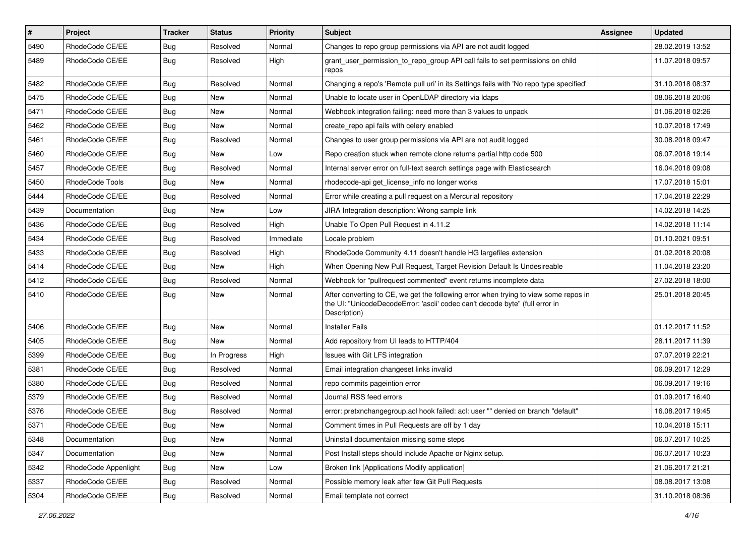| $\vert$ # | Project              | <b>Tracker</b> | <b>Status</b> | Priority  | <b>Subject</b>                                                                                                                                                                       | <b>Assignee</b> | <b>Updated</b>   |
|-----------|----------------------|----------------|---------------|-----------|--------------------------------------------------------------------------------------------------------------------------------------------------------------------------------------|-----------------|------------------|
| 5490      | RhodeCode CE/EE      | Bug            | Resolved      | Normal    | Changes to repo group permissions via API are not audit logged                                                                                                                       |                 | 28.02.2019 13:52 |
| 5489      | RhodeCode CE/EE      | Bug            | Resolved      | High      | grant_user_permission_to_repo_group API call fails to set permissions on child<br>repos                                                                                              |                 | 11.07.2018 09:57 |
| 5482      | RhodeCode CE/EE      | Bug            | Resolved      | Normal    | Changing a repo's 'Remote pull uri' in its Settings fails with 'No repo type specified'                                                                                              |                 | 31.10.2018 08:37 |
| 5475      | RhodeCode CE/EE      | Bug            | New           | Normal    | Unable to locate user in OpenLDAP directory via Idaps                                                                                                                                |                 | 08.06.2018 20:06 |
| 5471      | RhodeCode CE/EE      | Bug            | New           | Normal    | Webhook integration failing: need more than 3 values to unpack                                                                                                                       |                 | 01.06.2018 02:26 |
| 5462      | RhodeCode CE/EE      | Bug            | New           | Normal    | create repo api fails with celery enabled                                                                                                                                            |                 | 10.07.2018 17:49 |
| 5461      | RhodeCode CE/EE      | Bug            | Resolved      | Normal    | Changes to user group permissions via API are not audit logged                                                                                                                       |                 | 30.08.2018 09:47 |
| 5460      | RhodeCode CE/EE      | <b>Bug</b>     | New           | Low       | Repo creation stuck when remote clone returns partial http code 500                                                                                                                  |                 | 06.07.2018 19:14 |
| 5457      | RhodeCode CE/EE      | Bug            | Resolved      | Normal    | Internal server error on full-text search settings page with Elasticsearch                                                                                                           |                 | 16.04.2018 09:08 |
| 5450      | RhodeCode Tools      | <b>Bug</b>     | New           | Normal    | rhodecode-api get license info no longer works                                                                                                                                       |                 | 17.07.2018 15:01 |
| 5444      | RhodeCode CE/EE      | Bug            | Resolved      | Normal    | Error while creating a pull request on a Mercurial repository                                                                                                                        |                 | 17.04.2018 22:29 |
| 5439      | Documentation        | <b>Bug</b>     | <b>New</b>    | Low       | JIRA Integration description: Wrong sample link                                                                                                                                      |                 | 14.02.2018 14:25 |
| 5436      | RhodeCode CE/EE      | Bug            | Resolved      | High      | Unable To Open Pull Request in 4.11.2                                                                                                                                                |                 | 14.02.2018 11:14 |
| 5434      | RhodeCode CE/EE      | Bug            | Resolved      | Immediate | Locale problem                                                                                                                                                                       |                 | 01.10.2021 09:51 |
| 5433      | RhodeCode CE/EE      | Bug            | Resolved      | High      | RhodeCode Community 4.11 doesn't handle HG largefiles extension                                                                                                                      |                 | 01.02.2018 20:08 |
| 5414      | RhodeCode CE/EE      | Bug            | New           | High      | When Opening New Pull Request, Target Revision Default Is Undesireable                                                                                                               |                 | 11.04.2018 23:20 |
| 5412      | RhodeCode CE/EE      | Bug            | Resolved      | Normal    | Webhook for "pullrequest commented" event returns incomplete data                                                                                                                    |                 | 27.02.2018 18:00 |
| 5410      | RhodeCode CE/EE      | Bug            | New           | Normal    | After converting to CE, we get the following error when trying to view some repos in<br>the UI: "UnicodeDecodeError: 'ascii' codec can't decode byte" (full error in<br>Description) |                 | 25.01.2018 20:45 |
| 5406      | RhodeCode CE/EE      | Bug            | New           | Normal    | <b>Installer Fails</b>                                                                                                                                                               |                 | 01.12.2017 11:52 |
| 5405      | RhodeCode CE/EE      | Bug            | New           | Normal    | Add repository from UI leads to HTTP/404                                                                                                                                             |                 | 28.11.2017 11:39 |
| 5399      | RhodeCode CE/EE      | <b>Bug</b>     | In Progress   | High      | Issues with Git LFS integration                                                                                                                                                      |                 | 07.07.2019 22:21 |
| 5381      | RhodeCode CE/EE      | Bug            | Resolved      | Normal    | Email integration changeset links invalid                                                                                                                                            |                 | 06.09.2017 12:29 |
| 5380      | RhodeCode CE/EE      | <b>Bug</b>     | Resolved      | Normal    | repo commits pageintion error                                                                                                                                                        |                 | 06.09.2017 19:16 |
| 5379      | RhodeCode CE/EE      | Bug            | Resolved      | Normal    | Journal RSS feed errors                                                                                                                                                              |                 | 01.09.2017 16:40 |
| 5376      | RhodeCode CE/EE      | Bug            | Resolved      | Normal    | error: pretxnchangegroup.acl hook failed: acl: user "" denied on branch "default"                                                                                                    |                 | 16.08.2017 19:45 |
| 5371      | RhodeCode CE/EE      | Bug            | New           | Normal    | Comment times in Pull Requests are off by 1 day                                                                                                                                      |                 | 10.04.2018 15:11 |
| 5348      | Documentation        | Bug            | New           | Normal    | Uninstall documentaion missing some steps                                                                                                                                            |                 | 06.07.2017 10:25 |
| 5347      | Documentation        | Bug            | New           | Normal    | Post Install steps should include Apache or Nginx setup.                                                                                                                             |                 | 06.07.2017 10:23 |
| 5342      | RhodeCode Appenlight | Bug            | New           | Low       | Broken link [Applications Modify application]                                                                                                                                        |                 | 21.06.2017 21:21 |
| 5337      | RhodeCode CE/EE      | Bug            | Resolved      | Normal    | Possible memory leak after few Git Pull Requests                                                                                                                                     |                 | 08.08.2017 13:08 |
| 5304      | RhodeCode CE/EE      | <b>Bug</b>     | Resolved      | Normal    | Email template not correct                                                                                                                                                           |                 | 31.10.2018 08:36 |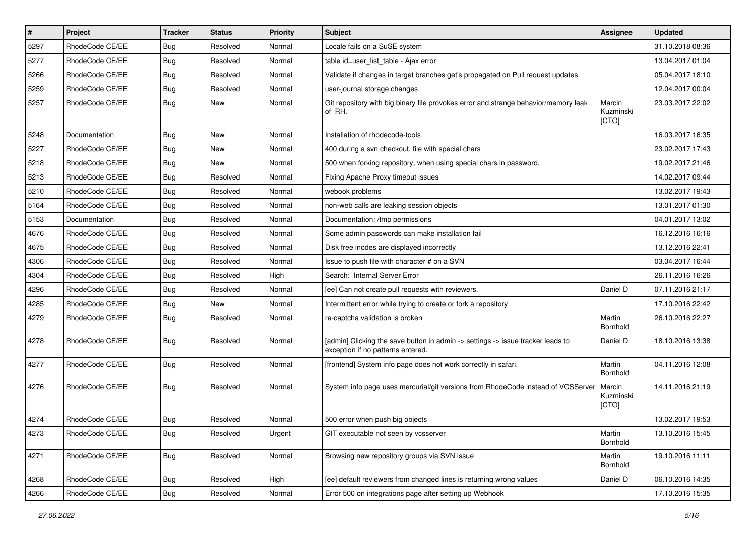| $\vert$ # | Project         | <b>Tracker</b> | <b>Status</b> | Priority | Subject                                                                                                              | <b>Assignee</b>              | <b>Updated</b>   |
|-----------|-----------------|----------------|---------------|----------|----------------------------------------------------------------------------------------------------------------------|------------------------------|------------------|
| 5297      | RhodeCode CE/EE | Bug            | Resolved      | Normal   | Locale fails on a SuSE system                                                                                        |                              | 31.10.2018 08:36 |
| 5277      | RhodeCode CE/EE | Bug            | Resolved      | Normal   | table id=user_list_table - Ajax error                                                                                |                              | 13.04.2017 01:04 |
| 5266      | RhodeCode CE/EE | Bug            | Resolved      | Normal   | Validate if changes in target branches get's propagated on Pull request updates                                      |                              | 05.04.2017 18:10 |
| 5259      | RhodeCode CE/EE | Bug            | Resolved      | Normal   | user-journal storage changes                                                                                         |                              | 12.04.2017 00:04 |
| 5257      | RhodeCode CE/EE | Bug            | <b>New</b>    | Normal   | Git repository with big binary file provokes error and strange behavior/memory leak<br>of RH.                        | Marcin<br>Kuzminski<br>[CTO] | 23.03.2017 22:02 |
| 5248      | Documentation   | Bug            | New           | Normal   | Installation of rhodecode-tools                                                                                      |                              | 16.03.2017 16:35 |
| 5227      | RhodeCode CE/EE | <b>Bug</b>     | New           | Normal   | 400 during a svn checkout, file with special chars                                                                   |                              | 23.02.2017 17:43 |
| 5218      | RhodeCode CE/EE | Bug            | <b>New</b>    | Normal   | 500 when forking repository, when using special chars in password.                                                   |                              | 19.02.2017 21:46 |
| 5213      | RhodeCode CE/EE | Bug            | Resolved      | Normal   | Fixing Apache Proxy timeout issues                                                                                   |                              | 14.02.2017 09:44 |
| 5210      | RhodeCode CE/EE | Bug            | Resolved      | Normal   | webook problems                                                                                                      |                              | 13.02.2017 19:43 |
| 5164      | RhodeCode CE/EE | Bug            | Resolved      | Normal   | non-web calls are leaking session objects                                                                            |                              | 13.01.2017 01:30 |
| 5153      | Documentation   | Bug            | Resolved      | Normal   | Documentation: /tmp permissions                                                                                      |                              | 04.01.2017 13:02 |
| 4676      | RhodeCode CE/EE | Bug            | Resolved      | Normal   | Some admin passwords can make installation fail                                                                      |                              | 16.12.2016 16:16 |
| 4675      | RhodeCode CE/EE | Bug            | Resolved      | Normal   | Disk free inodes are displayed incorrectly                                                                           |                              | 13.12.2016 22:41 |
| 4306      | RhodeCode CE/EE | Bug            | Resolved      | Normal   | Issue to push file with character # on a SVN                                                                         |                              | 03.04.2017 16:44 |
| 4304      | RhodeCode CE/EE | <b>Bug</b>     | Resolved      | High     | Search: Internal Server Error                                                                                        |                              | 26.11.2016 16:26 |
| 4296      | RhodeCode CE/EE | Bug            | Resolved      | Normal   | [ee] Can not create pull requests with reviewers.                                                                    | Daniel D                     | 07.11.2016 21:17 |
| 4285      | RhodeCode CE/EE | <b>Bug</b>     | New           | Normal   | Intermittent error while trying to create or fork a repository                                                       |                              | 17.10.2016 22:42 |
| 4279      | RhodeCode CE/EE | Bug            | Resolved      | Normal   | re-captcha validation is broken                                                                                      | Martin<br>Bornhold           | 26.10.2016 22:27 |
| 4278      | RhodeCode CE/EE | Bug            | Resolved      | Normal   | [admin] Clicking the save button in admin -> settings -> issue tracker leads to<br>exception if no patterns entered. | Daniel D                     | 18.10.2016 13:38 |
| 4277      | RhodeCode CE/EE | Bug            | Resolved      | Normal   | [frontend] System info page does not work correctly in safari.                                                       | Martin<br>Bornhold           | 04.11.2016 12:08 |
| 4276      | RhodeCode CE/EE | Bug            | Resolved      | Normal   | System info page uses mercurial/git versions from RhodeCode instead of VCSServer                                     | Marcin<br>Kuzminski<br>[CTO] | 14.11.2016 21:19 |
| 4274      | RhodeCode CE/EE | Bug            | Resolved      | Normal   | 500 error when push big objects                                                                                      |                              | 13.02.2017 19:53 |
| 4273      | RhodeCode CE/EE | <b>Bug</b>     | Resolved      | Urgent   | GIT executable not seen by vcsserver                                                                                 | Martin<br>Bornhold           | 13.10.2016 15:45 |
| 4271      | RhodeCode CE/EE | <b>Bug</b>     | Resolved      | Normal   | Browsing new repository groups via SVN issue                                                                         | Martin<br>Bornhold           | 19.10.2016 11:11 |
| 4268      | RhodeCode CE/EE | Bug            | Resolved      | High     | [ee] default reviewers from changed lines is returning wrong values                                                  | Daniel D                     | 06.10.2016 14:35 |
| 4266      | RhodeCode CE/EE | Bug            | Resolved      | Normal   | Error 500 on integrations page after setting up Webhook                                                              |                              | 17.10.2016 15:35 |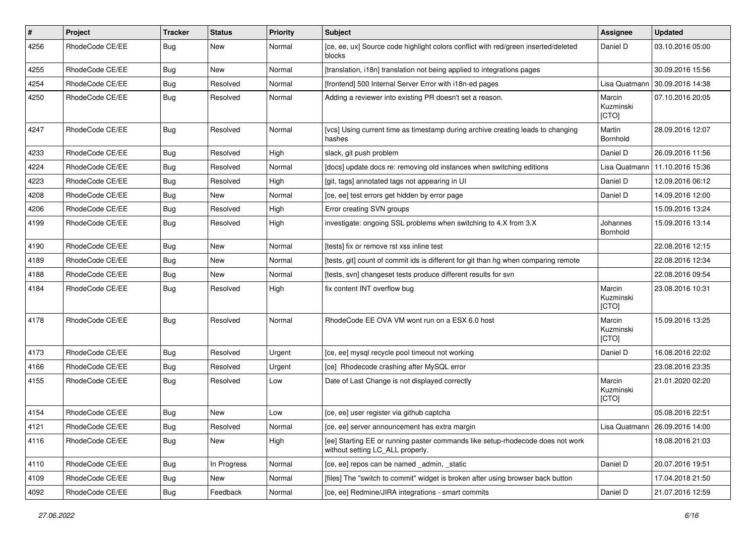| #    | Project         | <b>Tracker</b> | <b>Status</b> | <b>Priority</b> | Subject                                                                                                            | Assignee                     | <b>Updated</b>                   |
|------|-----------------|----------------|---------------|-----------------|--------------------------------------------------------------------------------------------------------------------|------------------------------|----------------------------------|
| 4256 | RhodeCode CE/EE | Bug            | New           | Normal          | [ce, ee, ux] Source code highlight colors conflict with red/green inserted/deleted<br>blocks                       | Daniel D                     | 03.10.2016 05:00                 |
| 4255 | RhodeCode CE/EE | Bug            | New           | Normal          | [translation, i18n] translation not being applied to integrations pages                                            |                              | 30.09.2016 15:56                 |
| 4254 | RhodeCode CE/EE | Bug            | Resolved      | Normal          | [frontend] 500 Internal Server Error with i18n-ed pages                                                            | Lisa Quatmann                | 30.09.2016 14:38                 |
| 4250 | RhodeCode CE/EE | <b>Bug</b>     | Resolved      | Normal          | Adding a reviewer into existing PR doesn't set a reason.                                                           | Marcin<br>Kuzminski<br>[CTO] | 07.10.2016 20:05                 |
| 4247 | RhodeCode CE/EE | Bug            | Resolved      | Normal          | [vcs] Using current time as timestamp during archive creating leads to changing<br>hashes                          | Martin<br>Bornhold           | 28.09.2016 12:07                 |
| 4233 | RhodeCode CE/EE | Bug            | Resolved      | High            | slack, git push problem                                                                                            | Daniel D                     | 26.09.2016 11:56                 |
| 4224 | RhodeCode CE/EE | Bug            | Resolved      | Normal          | [docs] update docs re: removing old instances when switching editions                                              | Lisa Quatmann                | 11.10.2016 15:36                 |
| 4223 | RhodeCode CE/EE | Bug            | Resolved      | High            | [git, tags] annotated tags not appearing in UI                                                                     | Daniel D                     | 12.09.2016 06:12                 |
| 4208 | RhodeCode CE/EE | Bug            | <b>New</b>    | Normal          | [ce, ee] test errors get hidden by error page                                                                      | Daniel D                     | 14.09.2016 12:00                 |
| 4206 | RhodeCode CE/EE | Bug            | Resolved      | High            | Error creating SVN groups                                                                                          |                              | 15.09.2016 13:24                 |
| 4199 | RhodeCode CE/EE | Bug            | Resolved      | High            | investigate: ongoing SSL problems when switching to 4.X from 3.X                                                   | Johannes<br>Bornhold         | 15.09.2016 13:14                 |
| 4190 | RhodeCode CE/EE | Bug            | New           | Normal          | [tests] fix or remove rst xss inline test                                                                          |                              | 22.08.2016 12:15                 |
| 4189 | RhodeCode CE/EE | <b>Bug</b>     | New           | Normal          | [tests, git] count of commit ids is different for git than hg when comparing remote                                |                              | 22.08.2016 12:34                 |
| 4188 | RhodeCode CE/EE | Bug            | New           | Normal          | [tests, svn] changeset tests produce different results for svn                                                     |                              | 22.08.2016 09:54                 |
| 4184 | RhodeCode CE/EE | Bug            | Resolved      | High            | fix content INT overflow bug                                                                                       | Marcin<br>Kuzminski<br>[CTO] | 23.08.2016 10:31                 |
| 4178 | RhodeCode CE/EE | Bug            | Resolved      | Normal          | RhodeCode EE OVA VM wont run on a ESX 6.0 host                                                                     | Marcin<br>Kuzminski<br>[CTO] | 15.09.2016 13:25                 |
| 4173 | RhodeCode CE/EE | Bug            | Resolved      | Urgent          | [ce, ee] mysql recycle pool timeout not working                                                                    | Daniel D                     | 16.08.2016 22:02                 |
| 4166 | RhodeCode CE/EE | Bug            | Resolved      | Urgent          | [ce] Rhodecode crashing after MySQL error                                                                          |                              | 23.08.2016 23:35                 |
| 4155 | RhodeCode CE/EE | Bug            | Resolved      | Low             | Date of Last Change is not displayed correctly                                                                     | Marcin<br>Kuzminski<br>[CTO] | 21.01.2020 02:20                 |
| 4154 | RhodeCode CE/EE | Bug            | New           | Low             | [ce, ee] user register via github captcha                                                                          |                              | 05.08.2016 22:51                 |
| 4121 | RhodeCode CE/EE | Bug            | Resolved      | Normal          | [ce, ee] server announcement has extra margin                                                                      |                              | Lisa Quatmann   26.09.2016 14:00 |
| 4116 | RhodeCode CE/EE | <b>Bug</b>     | New           | High            | [ee] Starting EE or running paster commands like setup-rhodecode does not work<br>without setting LC_ALL properly. |                              | 18.08.2016 21:03                 |
| 4110 | RhodeCode CE/EE | Bug            | In Progress   | Normal          | [ce, ee] repos can be named _admin, _static                                                                        | Daniel D                     | 20.07.2016 19:51                 |
| 4109 | RhodeCode CE/EE | <b>Bug</b>     | New           | Normal          | [files] The "switch to commit" widget is broken after using browser back button                                    |                              | 17.04.2018 21:50                 |
| 4092 | RhodeCode CE/EE | <b>Bug</b>     | Feedback      | Normal          | [ce, ee] Redmine/JIRA integrations - smart commits                                                                 | Daniel D                     | 21.07.2016 12:59                 |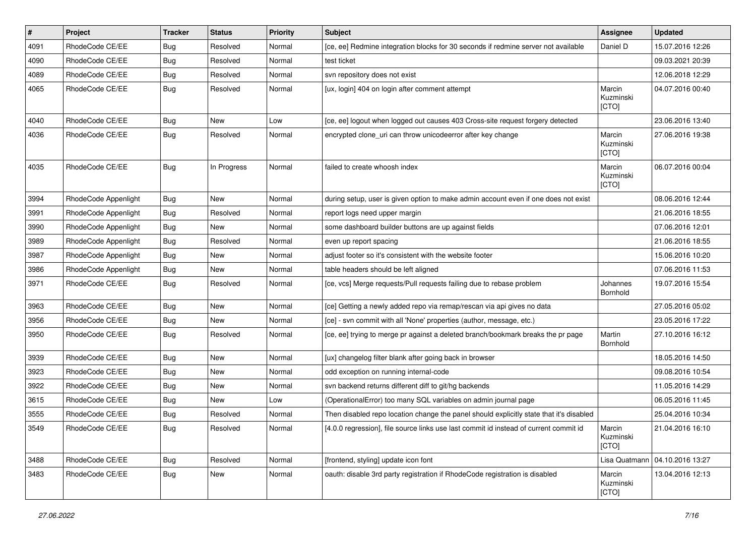| #    | Project              | <b>Tracker</b> | <b>Status</b> | <b>Priority</b> | <b>Subject</b>                                                                          | Assignee                     | <b>Updated</b>   |
|------|----------------------|----------------|---------------|-----------------|-----------------------------------------------------------------------------------------|------------------------------|------------------|
| 4091 | RhodeCode CE/EE      | Bug            | Resolved      | Normal          | [ce, ee] Redmine integration blocks for 30 seconds if redmine server not available      | Daniel D                     | 15.07.2016 12:26 |
| 4090 | RhodeCode CE/EE      | Bug            | Resolved      | Normal          | test ticket                                                                             |                              | 09.03.2021 20:39 |
| 4089 | RhodeCode CE/EE      | Bug            | Resolved      | Normal          | svn repository does not exist                                                           |                              | 12.06.2018 12:29 |
| 4065 | RhodeCode CE/EE      | Bug            | Resolved      | Normal          | [ux, login] 404 on login after comment attempt                                          | Marcin<br>Kuzminski<br>[CTO] | 04.07.2016 00:40 |
| 4040 | RhodeCode CE/EE      | Bug            | New           | Low             | [ce, ee] logout when logged out causes 403 Cross-site request forgery detected          |                              | 23.06.2016 13:40 |
| 4036 | RhodeCode CE/EE      | Bug            | Resolved      | Normal          | encrypted clone_uri can throw unicodeerror after key change                             | Marcin<br>Kuzminski<br>[CTO] | 27.06.2016 19:38 |
| 4035 | RhodeCode CE/EE      | Bug            | In Progress   | Normal          | failed to create whoosh index                                                           | Marcin<br>Kuzminski<br>[CTO] | 06.07.2016 00:04 |
| 3994 | RhodeCode Appenlight | Bug            | New           | Normal          | during setup, user is given option to make admin account even if one does not exist     |                              | 08.06.2016 12:44 |
| 3991 | RhodeCode Appenlight | Bug            | Resolved      | Normal          | report logs need upper margin                                                           |                              | 21.06.2016 18:55 |
| 3990 | RhodeCode Appenlight | Bug            | New           | Normal          | some dashboard builder buttons are up against fields                                    |                              | 07.06.2016 12:01 |
| 3989 | RhodeCode Appenlight | Bug            | Resolved      | Normal          | even up report spacing                                                                  |                              | 21.06.2016 18:55 |
| 3987 | RhodeCode Appenlight | Bug            | New           | Normal          | adjust footer so it's consistent with the website footer                                |                              | 15.06.2016 10:20 |
| 3986 | RhodeCode Appenlight | Bug            | New           | Normal          | table headers should be left aligned                                                    |                              | 07.06.2016 11:53 |
| 3971 | RhodeCode CE/EE      | Bug            | Resolved      | Normal          | [ce, vcs] Merge requests/Pull requests failing due to rebase problem                    | Johannes<br>Bornhold         | 19.07.2016 15:54 |
| 3963 | RhodeCode CE/EE      | Bug            | New           | Normal          | [ce] Getting a newly added repo via remap/rescan via api gives no data                  |                              | 27.05.2016 05:02 |
| 3956 | RhodeCode CE/EE      | Bug            | New           | Normal          | [ce] - svn commit with all 'None' properties (author, message, etc.)                    |                              | 23.05.2016 17:22 |
| 3950 | RhodeCode CE/EE      | Bug            | Resolved      | Normal          | [ce, ee] trying to merge pr against a deleted branch/bookmark breaks the pr page        | Martin<br>Bornhold           | 27.10.2016 16:12 |
| 3939 | RhodeCode CE/EE      | Bug            | New           | Normal          | [ux] changelog filter blank after going back in browser                                 |                              | 18.05.2016 14:50 |
| 3923 | RhodeCode CE/EE      | Bug            | <b>New</b>    | Normal          | odd exception on running internal-code                                                  |                              | 09.08.2016 10:54 |
| 3922 | RhodeCode CE/EE      | Bug            | New           | Normal          | svn backend returns different diff to git/hg backends                                   |                              | 11.05.2016 14:29 |
| 3615 | RhodeCode CE/EE      | Bug            | <b>New</b>    | Low             | (OperationalError) too many SQL variables on admin journal page                         |                              | 06.05.2016 11:45 |
| 3555 | RhodeCode CE/EE      | Bug            | Resolved      | Normal          | Then disabled repo location change the panel should explicitly state that it's disabled |                              | 25.04.2016 10:34 |
| 3549 | RhodeCode CE/EE      | <b>Bug</b>     | Resolved      | Normal          | [4.0.0 regression], file source links use last commit id instead of current commit id   | Marcin<br>Kuzminski<br>[CTO] | 21.04.2016 16:10 |
| 3488 | RhodeCode CE/EE      | Bug            | Resolved      | Normal          | [frontend, styling] update icon font                                                    | Lisa Quatmann                | 04.10.2016 13:27 |
| 3483 | RhodeCode CE/EE      | Bug            | New           | Normal          | oauth: disable 3rd party registration if RhodeCode registration is disabled             | Marcin<br>Kuzminski<br>[CTO] | 13.04.2016 12:13 |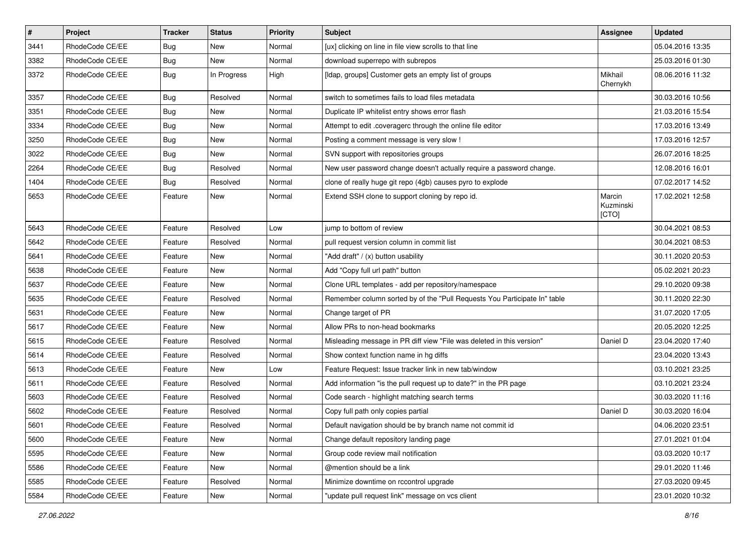| $\vert$ # | Project         | Tracker    | <b>Status</b> | <b>Priority</b> | <b>Subject</b>                                                            | Assignee                     | <b>Updated</b>   |
|-----------|-----------------|------------|---------------|-----------------|---------------------------------------------------------------------------|------------------------------|------------------|
| 3441      | RhodeCode CE/EE | Bug        | New           | Normal          | [ux] clicking on line in file view scrolls to that line                   |                              | 05.04.2016 13:35 |
| 3382      | RhodeCode CE/EE | <b>Bug</b> | <b>New</b>    | Normal          | download superrepo with subrepos                                          |                              | 25.03.2016 01:30 |
| 3372      | RhodeCode CE/EE | Bug        | In Progress   | High            | [Idap, groups] Customer gets an empty list of groups                      | Mikhail<br>Chernykh          | 08.06.2016 11:32 |
| 3357      | RhodeCode CE/EE | Bug        | Resolved      | Normal          | switch to sometimes fails to load files metadata                          |                              | 30.03.2016 10:56 |
| 3351      | RhodeCode CE/EE | <b>Bug</b> | New           | Normal          | Duplicate IP whitelist entry shows error flash                            |                              | 21.03.2016 15:54 |
| 3334      | RhodeCode CE/EE | Bug        | New           | Normal          | Attempt to edit .coveragerc through the online file editor                |                              | 17.03.2016 13:49 |
| 3250      | RhodeCode CE/EE | <b>Bug</b> | New           | Normal          | Posting a comment message is very slow !                                  |                              | 17.03.2016 12:57 |
| 3022      | RhodeCode CE/EE | <b>Bug</b> | New           | Normal          | SVN support with repositories groups                                      |                              | 26.07.2016 18:25 |
| 2264      | RhodeCode CE/EE | <b>Bug</b> | Resolved      | Normal          | New user password change doesn't actually require a password change.      |                              | 12.08.2016 16:01 |
| 1404      | RhodeCode CE/EE | Bug        | Resolved      | Normal          | clone of really huge git repo (4gb) causes pyro to explode                |                              | 07.02.2017 14:52 |
| 5653      | RhodeCode CE/EE | Feature    | New           | Normal          | Extend SSH clone to support cloning by repo id.                           | Marcin<br>Kuzminski<br>[CTO] | 17.02.2021 12:58 |
| 5643      | RhodeCode CE/EE | Feature    | Resolved      | Low             | jump to bottom of review                                                  |                              | 30.04.2021 08:53 |
| 5642      | RhodeCode CE/EE | Feature    | Resolved      | Normal          | pull request version column in commit list                                |                              | 30.04.2021 08:53 |
| 5641      | RhodeCode CE/EE | Feature    | New           | Normal          | "Add draft" / (x) button usability                                        |                              | 30.11.2020 20:53 |
| 5638      | RhodeCode CE/EE | Feature    | New           | Normal          | Add "Copy full url path" button                                           |                              | 05.02.2021 20:23 |
| 5637      | RhodeCode CE/EE | Feature    | New           | Normal          | Clone URL templates - add per repository/namespace                        |                              | 29.10.2020 09:38 |
| 5635      | RhodeCode CE/EE | Feature    | Resolved      | Normal          | Remember column sorted by of the "Pull Requests You Participate In" table |                              | 30.11.2020 22:30 |
| 5631      | RhodeCode CE/EE | Feature    | New           | Normal          | Change target of PR                                                       |                              | 31.07.2020 17:05 |
| 5617      | RhodeCode CE/EE | Feature    | New           | Normal          | Allow PRs to non-head bookmarks                                           |                              | 20.05.2020 12:25 |
| 5615      | RhodeCode CE/EE | Feature    | Resolved      | Normal          | Misleading message in PR diff view "File was deleted in this version"     | Daniel D                     | 23.04.2020 17:40 |
| 5614      | RhodeCode CE/EE | Feature    | Resolved      | Normal          | Show context function name in hg diffs                                    |                              | 23.04.2020 13:43 |
| 5613      | RhodeCode CE/EE | Feature    | New           | Low             | Feature Request: Issue tracker link in new tab/window                     |                              | 03.10.2021 23:25 |
| 5611      | RhodeCode CE/EE | Feature    | Resolved      | Normal          | Add information "is the pull request up to date?" in the PR page          |                              | 03.10.2021 23:24 |
| 5603      | RhodeCode CE/EE | Feature    | Resolved      | Normal          | Code search - highlight matching search terms                             |                              | 30.03.2020 11:16 |
| 5602      | RhodeCode CE/EE | Feature    | Resolved      | Normal          | Copy full path only copies partial                                        | Daniel D                     | 30.03.2020 16:04 |
| 5601      | RhodeCode CE/EE | Feature    | Resolved      | Normal          | Default navigation should be by branch name not commit id                 |                              | 04.06.2020 23:51 |
| 5600      | RhodeCode CE/EE | Feature    | New           | Normal          | Change default repository landing page                                    |                              | 27.01.2021 01:04 |
| 5595      | RhodeCode CE/EE | Feature    | New           | Normal          | Group code review mail notification                                       |                              | 03.03.2020 10:17 |
| 5586      | RhodeCode CE/EE | Feature    | New           | Normal          | @mention should be a link                                                 |                              | 29.01.2020 11:46 |
| 5585      | RhodeCode CE/EE | Feature    | Resolved      | Normal          | Minimize downtime on rccontrol upgrade                                    |                              | 27.03.2020 09:45 |
| 5584      | RhodeCode CE/EE | Feature    | New           | Normal          | "update pull request link" message on vcs client                          |                              | 23.01.2020 10:32 |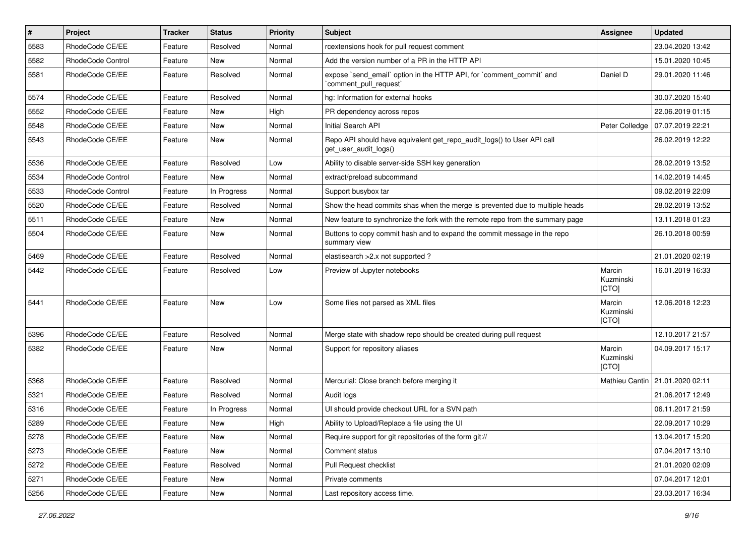| $\vert$ # | Project           | <b>Tracker</b> | <b>Status</b> | <b>Priority</b> | <b>Subject</b>                                                                                  | <b>Assignee</b>              | <b>Updated</b>   |
|-----------|-------------------|----------------|---------------|-----------------|-------------------------------------------------------------------------------------------------|------------------------------|------------------|
| 5583      | RhodeCode CE/EE   | Feature        | Resolved      | Normal          | rcextensions hook for pull request comment                                                      |                              | 23.04.2020 13:42 |
| 5582      | RhodeCode Control | Feature        | <b>New</b>    | Normal          | Add the version number of a PR in the HTTP API                                                  |                              | 15.01.2020 10:45 |
| 5581      | RhodeCode CE/EE   | Feature        | Resolved      | Normal          | expose `send email` option in the HTTP API, for `comment commit` and<br>`comment_pull_request`  | Daniel D                     | 29.01.2020 11:46 |
| 5574      | RhodeCode CE/EE   | Feature        | Resolved      | Normal          | hg: Information for external hooks                                                              |                              | 30.07.2020 15:40 |
| 5552      | RhodeCode CE/EE   | Feature        | New           | High            | PR dependency across repos                                                                      |                              | 22.06.2019 01:15 |
| 5548      | RhodeCode CE/EE   | Feature        | New           | Normal          | Initial Search API                                                                              | Peter Colledge               | 07.07.2019 22:21 |
| 5543      | RhodeCode CE/EE   | Feature        | <b>New</b>    | Normal          | Repo API should have equivalent get_repo_audit_logs() to User API call<br>get_user_audit_logs() |                              | 26.02.2019 12:22 |
| 5536      | RhodeCode CE/EE   | Feature        | Resolved      | Low             | Ability to disable server-side SSH key generation                                               |                              | 28.02.2019 13:52 |
| 5534      | RhodeCode Control | Feature        | New           | Normal          | extract/preload subcommand                                                                      |                              | 14.02.2019 14:45 |
| 5533      | RhodeCode Control | Feature        | In Progress   | Normal          | Support busybox tar                                                                             |                              | 09.02.2019 22:09 |
| 5520      | RhodeCode CE/EE   | Feature        | Resolved      | Normal          | Show the head commits shas when the merge is prevented due to multiple heads                    |                              | 28.02.2019 13:52 |
| 5511      | RhodeCode CE/EE   | Feature        | New           | Normal          | New feature to synchronize the fork with the remote repo from the summary page                  |                              | 13.11.2018 01:23 |
| 5504      | RhodeCode CE/EE   | Feature        | New           | Normal          | Buttons to copy commit hash and to expand the commit message in the repo<br>summary view        |                              | 26.10.2018 00:59 |
| 5469      | RhodeCode CE/EE   | Feature        | Resolved      | Normal          | elastisearch > 2.x not supported?                                                               |                              | 21.01.2020 02:19 |
| 5442      | RhodeCode CE/EE   | Feature        | Resolved      | Low             | Preview of Jupyter notebooks                                                                    | Marcin<br>Kuzminski<br>[CTO] | 16.01.2019 16:33 |
| 5441      | RhodeCode CE/EE   | Feature        | New           | Low             | Some files not parsed as XML files                                                              | Marcin<br>Kuzminski<br>[CTO] | 12.06.2018 12:23 |
| 5396      | RhodeCode CE/EE   | Feature        | Resolved      | Normal          | Merge state with shadow repo should be created during pull request                              |                              | 12.10.2017 21:57 |
| 5382      | RhodeCode CE/EE   | Feature        | New           | Normal          | Support for repository aliases                                                                  | Marcin<br>Kuzminski<br>[CTO] | 04.09.2017 15:17 |
| 5368      | RhodeCode CE/EE   | Feature        | Resolved      | Normal          | Mercurial: Close branch before merging it                                                       | Mathieu Cantin               | 21.01.2020 02:11 |
| 5321      | RhodeCode CE/EE   | Feature        | Resolved      | Normal          | Audit logs                                                                                      |                              | 21.06.2017 12:49 |
| 5316      | RhodeCode CE/EE   | Feature        | In Progress   | Normal          | UI should provide checkout URL for a SVN path                                                   |                              | 06.11.2017 21:59 |
| 5289      | RhodeCode CE/EE   | Feature        | New           | High            | Ability to Upload/Replace a file using the UI                                                   |                              | 22.09.2017 10:29 |
| 5278      | RhodeCode CE/EE   | Feature        | New           | Normal          | Require support for git repositories of the form git://                                         |                              | 13.04.2017 15:20 |
| 5273      | RhodeCode CE/EE   | Feature        | New           | Normal          | Comment status                                                                                  |                              | 07.04.2017 13:10 |
| 5272      | RhodeCode CE/EE   | Feature        | Resolved      | Normal          | Pull Request checklist                                                                          |                              | 21.01.2020 02:09 |
| 5271      | RhodeCode CE/EE   | Feature        | New           | Normal          | Private comments                                                                                |                              | 07.04.2017 12:01 |
| 5256      | RhodeCode CE/EE   | Feature        | New           | Normal          | Last repository access time.                                                                    |                              | 23.03.2017 16:34 |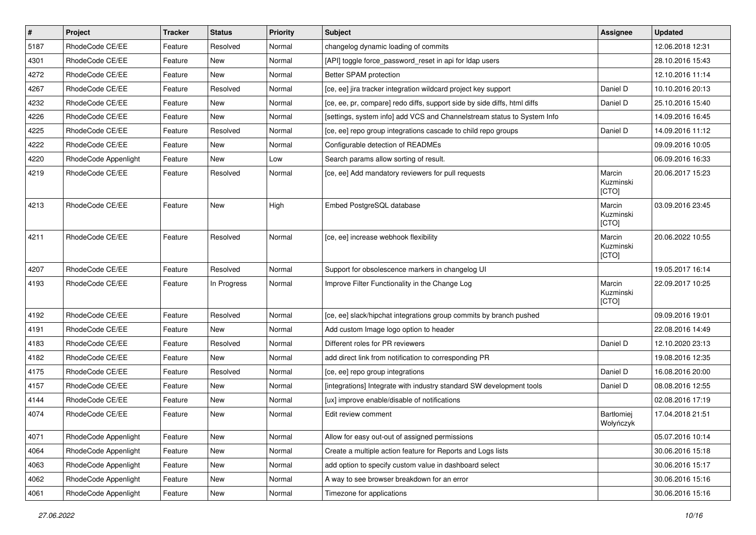| $\vert$ # | Project              | <b>Tracker</b> | <b>Status</b> | <b>Priority</b> | <b>Subject</b>                                                           | <b>Assignee</b>              | <b>Updated</b>   |
|-----------|----------------------|----------------|---------------|-----------------|--------------------------------------------------------------------------|------------------------------|------------------|
| 5187      | RhodeCode CE/EE      | Feature        | Resolved      | Normal          | changelog dynamic loading of commits                                     |                              | 12.06.2018 12:31 |
| 4301      | RhodeCode CE/EE      | Feature        | New           | Normal          | [API] toggle force_password_reset in api for Idap users                  |                              | 28.10.2016 15:43 |
| 4272      | RhodeCode CE/EE      | Feature        | New           | Normal          | Better SPAM protection                                                   |                              | 12.10.2016 11:14 |
| 4267      | RhodeCode CE/EE      | Feature        | Resolved      | Normal          | [ce, ee] jira tracker integration wildcard project key support           | Daniel D                     | 10.10.2016 20:13 |
| 4232      | RhodeCode CE/EE      | Feature        | <b>New</b>    | Normal          | [ce, ee, pr, compare] redo diffs, support side by side diffs, html diffs | Daniel D                     | 25.10.2016 15:40 |
| 4226      | RhodeCode CE/EE      | Feature        | <b>New</b>    | Normal          | [settings, system info] add VCS and Channelstream status to System Info  |                              | 14.09.2016 16:45 |
| 4225      | RhodeCode CE/EE      | Feature        | Resolved      | Normal          | [ce, ee] repo group integrations cascade to child repo groups            | Daniel D                     | 14.09.2016 11:12 |
| 4222      | RhodeCode CE/EE      | Feature        | New           | Normal          | Configurable detection of READMEs                                        |                              | 09.09.2016 10:05 |
| 4220      | RhodeCode Appenlight | Feature        | <b>New</b>    | Low             | Search params allow sorting of result.                                   |                              | 06.09.2016 16:33 |
| 4219      | RhodeCode CE/EE      | Feature        | Resolved      | Normal          | [ce, ee] Add mandatory reviewers for pull requests                       | Marcin<br>Kuzminski<br>[CTO] | 20.06.2017 15:23 |
| 4213      | RhodeCode CE/EE      | Feature        | <b>New</b>    | High            | Embed PostgreSQL database                                                | Marcin<br>Kuzminski<br>[CTO] | 03.09.2016 23:45 |
| 4211      | RhodeCode CE/EE      | Feature        | Resolved      | Normal          | [ce, ee] increase webhook flexibility                                    | Marcin<br>Kuzminski<br>[CTO] | 20.06.2022 10:55 |
| 4207      | RhodeCode CE/EE      | Feature        | Resolved      | Normal          | Support for obsolescence markers in changelog UI                         |                              | 19.05.2017 16:14 |
| 4193      | RhodeCode CE/EE      | Feature        | In Progress   | Normal          | Improve Filter Functionality in the Change Log                           | Marcin<br>Kuzminski<br>[CTO] | 22.09.2017 10:25 |
| 4192      | RhodeCode CE/EE      | Feature        | Resolved      | Normal          | [ce, ee] slack/hipchat integrations group commits by branch pushed       |                              | 09.09.2016 19:01 |
| 4191      | RhodeCode CE/EE      | Feature        | <b>New</b>    | Normal          | Add custom Image logo option to header                                   |                              | 22.08.2016 14:49 |
| 4183      | RhodeCode CE/EE      | Feature        | Resolved      | Normal          | Different roles for PR reviewers                                         | Daniel D                     | 12.10.2020 23:13 |
| 4182      | RhodeCode CE/EE      | Feature        | New           | Normal          | add direct link from notification to corresponding PR                    |                              | 19.08.2016 12:35 |
| 4175      | RhodeCode CE/EE      | Feature        | Resolved      | Normal          | [ce, ee] repo group integrations                                         | Daniel D                     | 16.08.2016 20:00 |
| 4157      | RhodeCode CE/EE      | Feature        | New           | Normal          | [integrations] Integrate with industry standard SW development tools     | Daniel D                     | 08.08.2016 12:55 |
| 4144      | RhodeCode CE/EE      | Feature        | New           | Normal          | [ux] improve enable/disable of notifications                             |                              | 02.08.2016 17:19 |
| 4074      | RhodeCode CE/EE      | Feature        | New           | Normal          | Edit review comment                                                      | Bartłomiej<br>Wołyńczyk      | 17.04.2018 21:51 |
| 4071      | RhodeCode Appenlight | Feature        | New           | Normal          | Allow for easy out-out of assigned permissions                           |                              | 05.07.2016 10:14 |
| 4064      | RhodeCode Appenlight | Feature        | New           | Normal          | Create a multiple action feature for Reports and Logs lists              |                              | 30.06.2016 15:18 |
| 4063      | RhodeCode Appenlight | Feature        | New           | Normal          | add option to specify custom value in dashboard select                   |                              | 30.06.2016 15:17 |
| 4062      | RhodeCode Appenlight | Feature        | New           | Normal          | A way to see browser breakdown for an error                              |                              | 30.06.2016 15:16 |
| 4061      | RhodeCode Appenlight | Feature        | New           | Normal          | Timezone for applications                                                |                              | 30.06.2016 15:16 |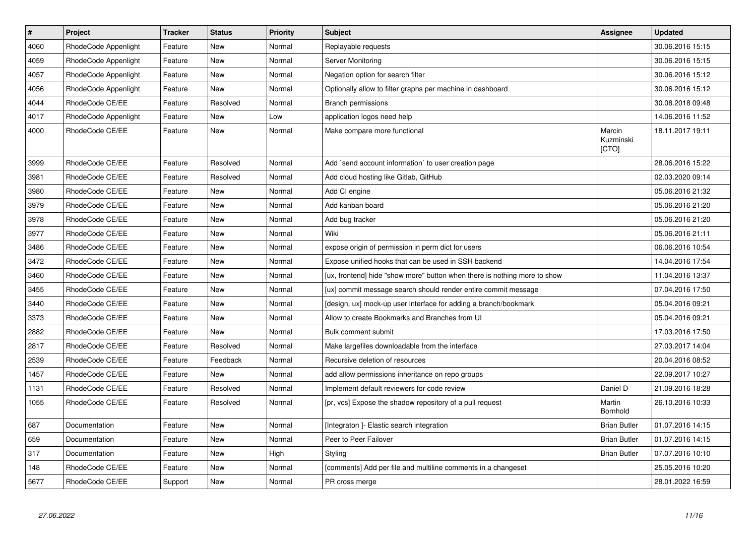| $\vert$ # | Project              | <b>Tracker</b> | <b>Status</b> | <b>Priority</b> | <b>Subject</b>                                                            | Assignee                     | <b>Updated</b>   |
|-----------|----------------------|----------------|---------------|-----------------|---------------------------------------------------------------------------|------------------------------|------------------|
| 4060      | RhodeCode Appenlight | Feature        | New           | Normal          | Replayable requests                                                       |                              | 30.06.2016 15:15 |
| 4059      | RhodeCode Appenlight | Feature        | <b>New</b>    | Normal          | Server Monitoring                                                         |                              | 30.06.2016 15:15 |
| 4057      | RhodeCode Appenlight | Feature        | New           | Normal          | Negation option for search filter                                         |                              | 30.06.2016 15:12 |
| 4056      | RhodeCode Appenlight | Feature        | <b>New</b>    | Normal          | Optionally allow to filter graphs per machine in dashboard                |                              | 30.06.2016 15:12 |
| 4044      | RhodeCode CE/EE      | Feature        | Resolved      | Normal          | Branch permissions                                                        |                              | 30.08.2018 09:48 |
| 4017      | RhodeCode Appenlight | Feature        | <b>New</b>    | Low             | application logos need help                                               |                              | 14.06.2016 11:52 |
| 4000      | RhodeCode CE/EE      | Feature        | <b>New</b>    | Normal          | Make compare more functional                                              | Marcin<br>Kuzminski<br>[CTO] | 18.11.2017 19:11 |
| 3999      | RhodeCode CE/EE      | Feature        | Resolved      | Normal          | Add `send account information` to user creation page                      |                              | 28.06.2016 15:22 |
| 3981      | RhodeCode CE/EE      | Feature        | Resolved      | Normal          | Add cloud hosting like Gitlab, GitHub                                     |                              | 02.03.2020 09:14 |
| 3980      | RhodeCode CE/EE      | Feature        | New           | Normal          | Add CI engine                                                             |                              | 05.06.2016 21:32 |
| 3979      | RhodeCode CE/EE      | Feature        | <b>New</b>    | Normal          | Add kanban board                                                          |                              | 05.06.2016 21:20 |
| 3978      | RhodeCode CE/EE      | Feature        | New           | Normal          | Add bug tracker                                                           |                              | 05.06.2016 21:20 |
| 3977      | RhodeCode CE/EE      | Feature        | <b>New</b>    | Normal          | Wiki                                                                      |                              | 05.06.2016 21:11 |
| 3486      | RhodeCode CE/EE      | Feature        | New           | Normal          | expose origin of permission in perm dict for users                        |                              | 06.06.2016 10:54 |
| 3472      | RhodeCode CE/EE      | Feature        | <b>New</b>    | Normal          | Expose unified hooks that can be used in SSH backend                      |                              | 14.04.2016 17:54 |
| 3460      | RhodeCode CE/EE      | Feature        | New           | Normal          | [ux, frontend] hide "show more" button when there is nothing more to show |                              | 11.04.2016 13:37 |
| 3455      | RhodeCode CE/EE      | Feature        | New           | Normal          | [ux] commit message search should render entire commit message            |                              | 07.04.2016 17:50 |
| 3440      | RhodeCode CE/EE      | Feature        | New           | Normal          | [design, ux] mock-up user interface for adding a branch/bookmark          |                              | 05.04.2016 09:21 |
| 3373      | RhodeCode CE/EE      | Feature        | New           | Normal          | Allow to create Bookmarks and Branches from UI                            |                              | 05.04.2016 09:21 |
| 2882      | RhodeCode CE/EE      | Feature        | New           | Normal          | Bulk comment submit                                                       |                              | 17.03.2016 17:50 |
| 2817      | RhodeCode CE/EE      | Feature        | Resolved      | Normal          | Make largefiles downloadable from the interface                           |                              | 27.03.2017 14:04 |
| 2539      | RhodeCode CE/EE      | Feature        | Feedback      | Normal          | Recursive deletion of resources                                           |                              | 20.04.2016 08:52 |
| 1457      | RhodeCode CE/EE      | Feature        | New           | Normal          | add allow permissions inheritance on repo groups                          |                              | 22.09.2017 10:27 |
| 1131      | RhodeCode CE/EE      | Feature        | Resolved      | Normal          | Implement default reviewers for code review                               | Daniel D                     | 21.09.2016 18:28 |
| 1055      | RhodeCode CE/EE      | Feature        | Resolved      | Normal          | [pr, vcs] Expose the shadow repository of a pull request                  | Martin<br>Bornhold           | 26.10.2016 10:33 |
| 687       | Documentation        | Feature        | New           | Normal          | [Integraton] - Elastic search integration                                 | <b>Brian Butler</b>          | 01.07.2016 14:15 |
| 659       | Documentation        | Feature        | New           | Normal          | Peer to Peer Failover                                                     | <b>Brian Butler</b>          | 01.07.2016 14:15 |
| 317       | Documentation        | Feature        | New           | High            | Styling                                                                   | <b>Brian Butler</b>          | 07.07.2016 10:10 |
| 148       | RhodeCode CE/EE      | Feature        | New           | Normal          | [comments] Add per file and multiline comments in a changeset             |                              | 25.05.2016 10:20 |
| 5677      | RhodeCode CE/EE      | Support        | <b>New</b>    | Normal          | PR cross merge                                                            |                              | 28.01.2022 16:59 |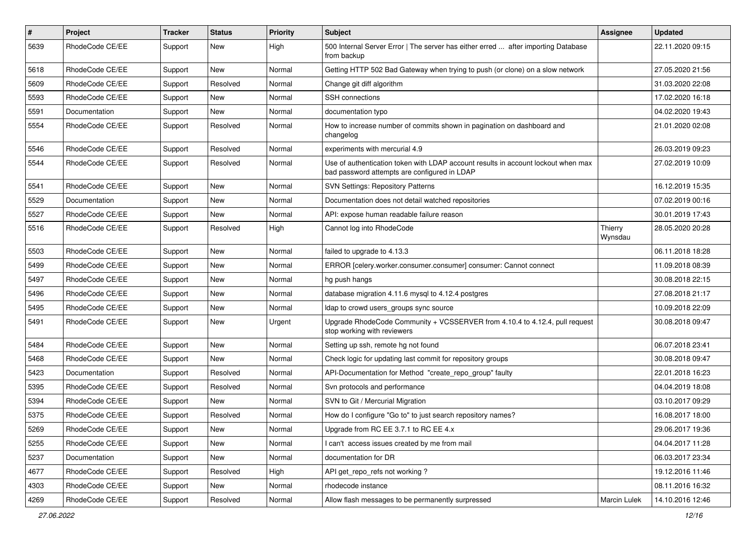| $\#$ | Project         | Tracker | <b>Status</b> | <b>Priority</b> | <b>Subject</b>                                                                                                                    | <b>Assignee</b>     | <b>Updated</b>   |
|------|-----------------|---------|---------------|-----------------|-----------------------------------------------------------------------------------------------------------------------------------|---------------------|------------------|
| 5639 | RhodeCode CE/EE | Support | New           | High            | 500 Internal Server Error   The server has either erred  after importing Database<br>from backup                                  |                     | 22.11.2020 09:15 |
| 5618 | RhodeCode CE/EE | Support | New           | Normal          | Getting HTTP 502 Bad Gateway when trying to push (or clone) on a slow network                                                     |                     | 27.05.2020 21:56 |
| 5609 | RhodeCode CE/EE | Support | Resolved      | Normal          | Change git diff algorithm                                                                                                         |                     | 31.03.2020 22:08 |
| 5593 | RhodeCode CE/EE | Support | New           | Normal          | SSH connections                                                                                                                   |                     | 17.02.2020 16:18 |
| 5591 | Documentation   | Support | New           | Normal          | documentation typo                                                                                                                |                     | 04.02.2020 19:43 |
| 5554 | RhodeCode CE/EE | Support | Resolved      | Normal          | How to increase number of commits shown in pagination on dashboard and<br>changelog                                               |                     | 21.01.2020 02:08 |
| 5546 | RhodeCode CE/EE | Support | Resolved      | Normal          | experiments with mercurial 4.9                                                                                                    |                     | 26.03.2019 09:23 |
| 5544 | RhodeCode CE/EE | Support | Resolved      | Normal          | Use of authentication token with LDAP account results in account lockout when max<br>bad password attempts are configured in LDAP |                     | 27.02.2019 10:09 |
| 5541 | RhodeCode CE/EE | Support | New           | Normal          | <b>SVN Settings: Repository Patterns</b>                                                                                          |                     | 16.12.2019 15:35 |
| 5529 | Documentation   | Support | New           | Normal          | Documentation does not detail watched repositories                                                                                |                     | 07.02.2019 00:16 |
| 5527 | RhodeCode CE/EE | Support | New           | Normal          | API: expose human readable failure reason                                                                                         |                     | 30.01.2019 17:43 |
| 5516 | RhodeCode CE/EE | Support | Resolved      | High            | Cannot log into RhodeCode                                                                                                         | Thierry<br>Wynsdau  | 28.05.2020 20:28 |
| 5503 | RhodeCode CE/EE | Support | New           | Normal          | failed to upgrade to 4.13.3                                                                                                       |                     | 06.11.2018 18:28 |
| 5499 | RhodeCode CE/EE | Support | New           | Normal          | ERROR [celery.worker.consumer.consumer] consumer: Cannot connect                                                                  |                     | 11.09.2018 08:39 |
| 5497 | RhodeCode CE/EE | Support | New           | Normal          | hg push hangs                                                                                                                     |                     | 30.08.2018 22:15 |
| 5496 | RhodeCode CE/EE | Support | New           | Normal          | database migration 4.11.6 mysql to 4.12.4 postgres                                                                                |                     | 27.08.2018 21:17 |
| 5495 | RhodeCode CE/EE | Support | New           | Normal          | Idap to crowd users groups sync source                                                                                            |                     | 10.09.2018 22:09 |
| 5491 | RhodeCode CE/EE | Support | New           | Urgent          | Upgrade RhodeCode Community + VCSSERVER from 4.10.4 to 4.12.4, pull request<br>stop working with reviewers                        |                     | 30.08.2018 09:47 |
| 5484 | RhodeCode CE/EE | Support | New           | Normal          | Setting up ssh, remote hg not found                                                                                               |                     | 06.07.2018 23:41 |
| 5468 | RhodeCode CE/EE | Support | New           | Normal          | Check logic for updating last commit for repository groups                                                                        |                     | 30.08.2018 09:47 |
| 5423 | Documentation   | Support | Resolved      | Normal          | API-Documentation for Method "create_repo_group" faulty                                                                           |                     | 22.01.2018 16:23 |
| 5395 | RhodeCode CE/EE | Support | Resolved      | Normal          | Svn protocols and performance                                                                                                     |                     | 04.04.2019 18:08 |
| 5394 | RhodeCode CE/EE | Support | New           | Normal          | SVN to Git / Mercurial Migration                                                                                                  |                     | 03.10.2017 09:29 |
| 5375 | RhodeCode CE/EE | Support | Resolved      | Normal          | How do I configure "Go to" to just search repository names?                                                                       |                     | 16.08.2017 18:00 |
| 5269 | RhodeCode CE/EE | Support | New           | Normal          | Upgrade from RC EE 3.7.1 to RC EE 4.x                                                                                             |                     | 29.06.2017 19:36 |
| 5255 | RhodeCode CE/EE | Support | New           | Normal          | I can't access issues created by me from mail                                                                                     |                     | 04.04.2017 11:28 |
| 5237 | Documentation   | Support | New           | Normal          | documentation for DR                                                                                                              |                     | 06.03.2017 23:34 |
| 4677 | RhodeCode CE/EE | Support | Resolved      | High            | API get_repo_refs not working?                                                                                                    |                     | 19.12.2016 11:46 |
| 4303 | RhodeCode CE/EE | Support | New           | Normal          | rhodecode instance                                                                                                                |                     | 08.11.2016 16:32 |
| 4269 | RhodeCode CE/EE | Support | Resolved      | Normal          | Allow flash messages to be permanently surpressed                                                                                 | <b>Marcin Lulek</b> | 14.10.2016 12:46 |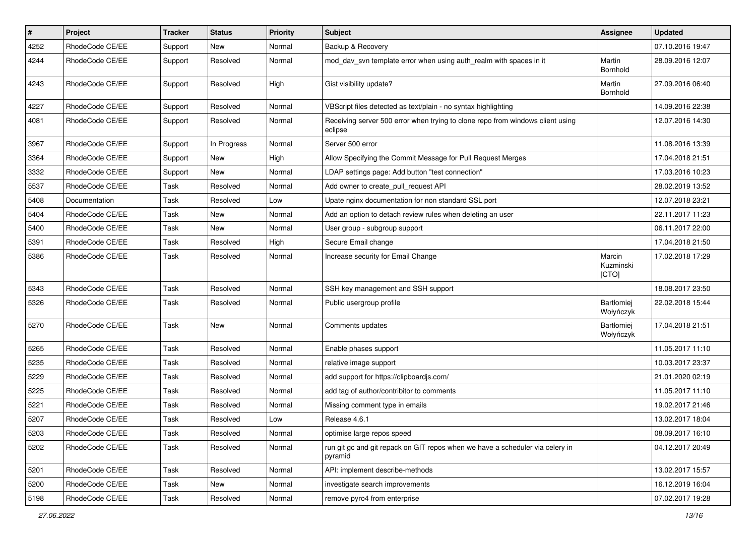| $\pmb{\#}$ | Project         | <b>Tracker</b> | <b>Status</b> | <b>Priority</b> | Subject                                                                                   | Assignee                     | <b>Updated</b>   |
|------------|-----------------|----------------|---------------|-----------------|-------------------------------------------------------------------------------------------|------------------------------|------------------|
| 4252       | RhodeCode CE/EE | Support        | <b>New</b>    | Normal          | Backup & Recovery                                                                         |                              | 07.10.2016 19:47 |
| 4244       | RhodeCode CE/EE | Support        | Resolved      | Normal          | mod_dav_svn template error when using auth_realm with spaces in it                        | Martin<br>Bornhold           | 28.09.2016 12:07 |
| 4243       | RhodeCode CE/EE | Support        | Resolved      | High            | Gist visibility update?                                                                   | Martin<br>Bornhold           | 27.09.2016 06:40 |
| 4227       | RhodeCode CE/EE | Support        | Resolved      | Normal          | VBScript files detected as text/plain - no syntax highlighting                            |                              | 14.09.2016 22:38 |
| 4081       | RhodeCode CE/EE | Support        | Resolved      | Normal          | Receiving server 500 error when trying to clone repo from windows client using<br>eclipse |                              | 12.07.2016 14:30 |
| 3967       | RhodeCode CE/EE | Support        | In Progress   | Normal          | Server 500 error                                                                          |                              | 11.08.2016 13:39 |
| 3364       | RhodeCode CE/EE | Support        | <b>New</b>    | High            | Allow Specifying the Commit Message for Pull Request Merges                               |                              | 17.04.2018 21:51 |
| 3332       | RhodeCode CE/EE | Support        | New           | Normal          | LDAP settings page: Add button "test connection"                                          |                              | 17.03.2016 10:23 |
| 5537       | RhodeCode CE/EE | Task           | Resolved      | Normal          | Add owner to create_pull_request API                                                      |                              | 28.02.2019 13:52 |
| 5408       | Documentation   | Task           | Resolved      | Low             | Upate nginx documentation for non standard SSL port                                       |                              | 12.07.2018 23:21 |
| 5404       | RhodeCode CE/EE | Task           | New           | Normal          | Add an option to detach review rules when deleting an user                                |                              | 22.11.2017 11:23 |
| 5400       | RhodeCode CE/EE | Task           | New           | Normal          | User group - subgroup support                                                             |                              | 06.11.2017 22:00 |
| 5391       | RhodeCode CE/EE | Task           | Resolved      | High            | Secure Email change                                                                       |                              | 17.04.2018 21:50 |
| 5386       | RhodeCode CE/EE | Task           | Resolved      | Normal          | Increase security for Email Change                                                        | Marcin<br>Kuzminski<br>[CTO] | 17.02.2018 17:29 |
| 5343       | RhodeCode CE/EE | Task           | Resolved      | Normal          | SSH key management and SSH support                                                        |                              | 18.08.2017 23:50 |
| 5326       | RhodeCode CE/EE | Task           | Resolved      | Normal          | Public usergroup profile                                                                  | Bartłomiej<br>Wołyńczyk      | 22.02.2018 15:44 |
| 5270       | RhodeCode CE/EE | Task           | New           | Normal          | Comments updates                                                                          | Bartłomiej<br>Wołyńczyk      | 17.04.2018 21:51 |
| 5265       | RhodeCode CE/EE | Task           | Resolved      | Normal          | Enable phases support                                                                     |                              | 11.05.2017 11:10 |
| 5235       | RhodeCode CE/EE | Task           | Resolved      | Normal          | relative image support                                                                    |                              | 10.03.2017 23:37 |
| 5229       | RhodeCode CE/EE | Task           | Resolved      | Normal          | add support for https://clipboardjs.com/                                                  |                              | 21.01.2020 02:19 |
| 5225       | RhodeCode CE/EE | Task           | Resolved      | Normal          | add tag of author/contribitor to comments                                                 |                              | 11.05.2017 11:10 |
| 5221       | RhodeCode CE/EE | Task           | Resolved      | Normal          | Missing comment type in emails                                                            |                              | 19.02.2017 21:46 |
| 5207       | RhodeCode CE/EE | Task           | Resolved      | Low             | Release 4.6.1                                                                             |                              | 13.02.2017 18:04 |
| 5203       | RhodeCode CE/EE | Task           | Resolved      | Normal          | optimise large repos speed                                                                |                              | 08.09.2017 16:10 |
| 5202       | RhodeCode CE/EE | Task           | Resolved      | Normal          | run git gc and git repack on GIT repos when we have a scheduler via celery in<br>pyramid  |                              | 04.12.2017 20:49 |
| 5201       | RhodeCode CE/EE | Task           | Resolved      | Normal          | API: implement describe-methods                                                           |                              | 13.02.2017 15:57 |
| 5200       | RhodeCode CE/EE | Task           | New           | Normal          | investigate search improvements                                                           |                              | 16.12.2019 16:04 |
| 5198       | RhodeCode CE/EE | Task           | Resolved      | Normal          | remove pyro4 from enterprise                                                              |                              | 07.02.2017 19:28 |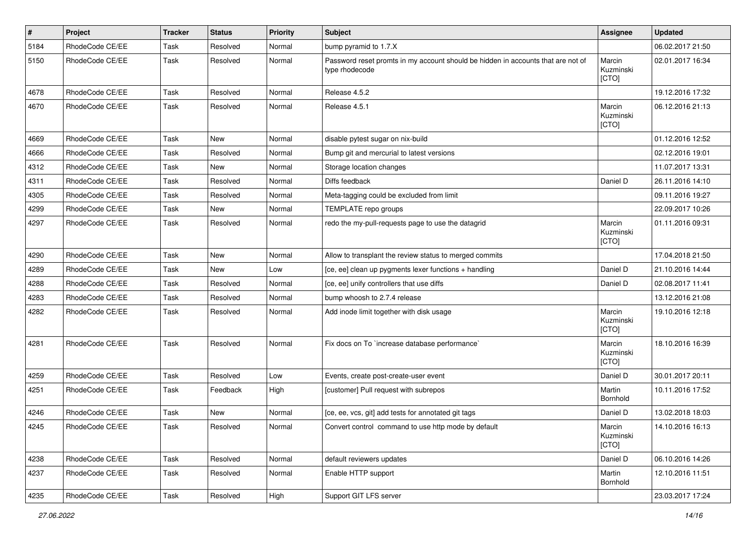| #    | Project         | <b>Tracker</b> | <b>Status</b> | <b>Priority</b> | <b>Subject</b>                                                                                     | <b>Assignee</b>              | <b>Updated</b>   |
|------|-----------------|----------------|---------------|-----------------|----------------------------------------------------------------------------------------------------|------------------------------|------------------|
| 5184 | RhodeCode CE/EE | Task           | Resolved      | Normal          | bump pyramid to 1.7.X                                                                              |                              | 06.02.2017 21:50 |
| 5150 | RhodeCode CE/EE | Task           | Resolved      | Normal          | Password reset promts in my account should be hidden in accounts that are not of<br>type rhodecode | Marcin<br>Kuzminski<br>[CTO] | 02.01.2017 16:34 |
| 4678 | RhodeCode CE/EE | Task           | Resolved      | Normal          | Release 4.5.2                                                                                      |                              | 19.12.2016 17:32 |
| 4670 | RhodeCode CE/EE | Task           | Resolved      | Normal          | Release 4.5.1                                                                                      | Marcin<br>Kuzminski<br>[CTO] | 06.12.2016 21:13 |
| 4669 | RhodeCode CE/EE | Task           | <b>New</b>    | Normal          | disable pytest sugar on nix-build                                                                  |                              | 01.12.2016 12:52 |
| 4666 | RhodeCode CE/EE | Task           | Resolved      | Normal          | Bump git and mercurial to latest versions                                                          |                              | 02.12.2016 19:01 |
| 4312 | RhodeCode CE/EE | Task           | New           | Normal          | Storage location changes                                                                           |                              | 11.07.2017 13:31 |
| 4311 | RhodeCode CE/EE | Task           | Resolved      | Normal          | Diffs feedback                                                                                     | Daniel D                     | 26.11.2016 14:10 |
| 4305 | RhodeCode CE/EE | Task           | Resolved      | Normal          | Meta-tagging could be excluded from limit                                                          |                              | 09.11.2016 19:27 |
| 4299 | RhodeCode CE/EE | Task           | New           | Normal          | TEMPLATE repo groups                                                                               |                              | 22.09.2017 10:26 |
| 4297 | RhodeCode CE/EE | Task           | Resolved      | Normal          | redo the my-pull-requests page to use the datagrid                                                 | Marcin<br>Kuzminski<br>[CTO] | 01.11.2016 09:31 |
| 4290 | RhodeCode CE/EE | Task           | <b>New</b>    | Normal          | Allow to transplant the review status to merged commits                                            |                              | 17.04.2018 21:50 |
| 4289 | RhodeCode CE/EE | Task           | New           | Low             | [ce, ee] clean up pygments lexer functions + handling                                              | Daniel D                     | 21.10.2016 14:44 |
| 4288 | RhodeCode CE/EE | Task           | Resolved      | Normal          | [ce, ee] unify controllers that use diffs                                                          | Daniel D                     | 02.08.2017 11:41 |
| 4283 | RhodeCode CE/EE | Task           | Resolved      | Normal          | bump whoosh to 2.7.4 release                                                                       |                              | 13.12.2016 21:08 |
| 4282 | RhodeCode CE/EE | Task           | Resolved      | Normal          | Add inode limit together with disk usage                                                           | Marcin<br>Kuzminski<br>[CTO] | 19.10.2016 12:18 |
| 4281 | RhodeCode CE/EE | Task           | Resolved      | Normal          | Fix docs on To `increase database performance`                                                     | Marcin<br>Kuzminski<br>[CTO] | 18.10.2016 16:39 |
| 4259 | RhodeCode CE/EE | Task           | Resolved      | Low             | Events, create post-create-user event                                                              | Daniel D                     | 30.01.2017 20:11 |
| 4251 | RhodeCode CE/EE | Task           | Feedback      | High            | [customer] Pull request with subrepos                                                              | Martin<br>Bornhold           | 10.11.2016 17:52 |
| 4246 | RhodeCode CE/EE | Task           | New           | Normal          | [ce, ee, vcs, git] add tests for annotated git tags                                                | Daniel D                     | 13.02.2018 18:03 |
| 4245 | RhodeCode CE/EE | Task           | Resolved      | Normal          | Convert control command to use http mode by default                                                | Marcin<br>Kuzminski<br>[CTO] | 14.10.2016 16:13 |
| 4238 | RhodeCode CE/EE | Task           | Resolved      | Normal          | default reviewers updates                                                                          | Daniel D                     | 06.10.2016 14:26 |
| 4237 | RhodeCode CE/EE | Task           | Resolved      | Normal          | Enable HTTP support                                                                                | Martin<br>Bornhold           | 12.10.2016 11:51 |
| 4235 | RhodeCode CE/EE | Task           | Resolved      | High            | Support GIT LFS server                                                                             |                              | 23.03.2017 17:24 |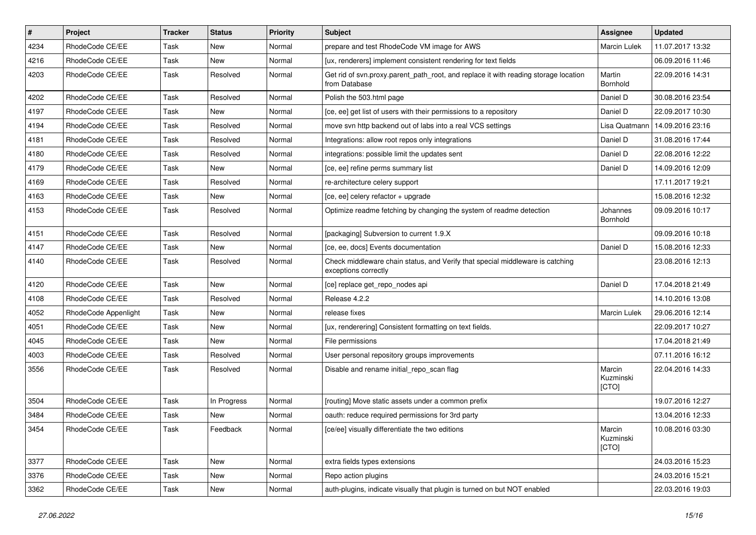| #    | Project              | <b>Tracker</b> | <b>Status</b> | <b>Priority</b> | Subject                                                                                               | Assignee                     | <b>Updated</b>   |
|------|----------------------|----------------|---------------|-----------------|-------------------------------------------------------------------------------------------------------|------------------------------|------------------|
| 4234 | RhodeCode CE/EE      | Task           | New           | Normal          | prepare and test RhodeCode VM image for AWS                                                           | <b>Marcin Lulek</b>          | 11.07.2017 13:32 |
| 4216 | RhodeCode CE/EE      | Task           | <b>New</b>    | Normal          | [ux, renderers] implement consistent rendering for text fields                                        |                              | 06.09.2016 11:46 |
| 4203 | RhodeCode CE/EE      | Task           | Resolved      | Normal          | Get rid of svn.proxy.parent path root, and replace it with reading storage location<br>from Database  | Martin<br>Bornhold           | 22.09.2016 14:31 |
| 4202 | RhodeCode CE/EE      | Task           | Resolved      | Normal          | Polish the 503.html page                                                                              | Daniel D                     | 30.08.2016 23:54 |
| 4197 | RhodeCode CE/EE      | Task           | New           | Normal          | [ce, ee] get list of users with their permissions to a repository                                     | Daniel D                     | 22.09.2017 10:30 |
| 4194 | RhodeCode CE/EE      | Task           | Resolved      | Normal          | move svn http backend out of labs into a real VCS settings                                            | Lisa Quatmann                | 14.09.2016 23:16 |
| 4181 | RhodeCode CE/EE      | Task           | Resolved      | Normal          | Integrations: allow root repos only integrations                                                      | Daniel D                     | 31.08.2016 17:44 |
| 4180 | RhodeCode CE/EE      | Task           | Resolved      | Normal          | integrations: possible limit the updates sent                                                         | Daniel D                     | 22.08.2016 12:22 |
| 4179 | RhodeCode CE/EE      | Task           | <b>New</b>    | Normal          | [ce, ee] refine perms summary list                                                                    | Daniel D                     | 14.09.2016 12:09 |
| 4169 | RhodeCode CE/EE      | Task           | Resolved      | Normal          | re-architecture celery support                                                                        |                              | 17.11.2017 19:21 |
| 4163 | RhodeCode CE/EE      | Task           | New           | Normal          | [ce, ee] celery refactor + upgrade                                                                    |                              | 15.08.2016 12:32 |
| 4153 | RhodeCode CE/EE      | Task           | Resolved      | Normal          | Optimize readme fetching by changing the system of readme detection                                   | Johannes<br>Bornhold         | 09.09.2016 10:17 |
| 4151 | RhodeCode CE/EE      | Task           | Resolved      | Normal          | [packaging] Subversion to current 1.9.X                                                               |                              | 09.09.2016 10:18 |
| 4147 | RhodeCode CE/EE      | Task           | New           | Normal          | [ce, ee, docs] Events documentation                                                                   | Daniel D                     | 15.08.2016 12:33 |
| 4140 | RhodeCode CE/EE      | Task           | Resolved      | Normal          | Check middleware chain status, and Verify that special middleware is catching<br>exceptions correctly |                              | 23.08.2016 12:13 |
| 4120 | RhodeCode CE/EE      | Task           | <b>New</b>    | Normal          | [ce] replace get_repo_nodes api                                                                       | Daniel D                     | 17.04.2018 21:49 |
| 4108 | RhodeCode CE/EE      | Task           | Resolved      | Normal          | Release 4.2.2                                                                                         |                              | 14.10.2016 13:08 |
| 4052 | RhodeCode Appenlight | Task           | <b>New</b>    | Normal          | release fixes                                                                                         | <b>Marcin Lulek</b>          | 29.06.2016 12:14 |
| 4051 | RhodeCode CE/EE      | Task           | New           | Normal          | [ux, renderering] Consistent formatting on text fields.                                               |                              | 22.09.2017 10:27 |
| 4045 | RhodeCode CE/EE      | Task           | New           | Normal          | File permissions                                                                                      |                              | 17.04.2018 21:49 |
| 4003 | RhodeCode CE/EE      | Task           | Resolved      | Normal          | User personal repository groups improvements                                                          |                              | 07.11.2016 16:12 |
| 3556 | RhodeCode CE/EE      | Task           | Resolved      | Normal          | Disable and rename initial repo scan flag                                                             | Marcin<br>Kuzminski<br>[CTO] | 22.04.2016 14:33 |
| 3504 | RhodeCode CE/EE      | Task           | In Progress   | Normal          | [routing] Move static assets under a common prefix                                                    |                              | 19.07.2016 12:27 |
| 3484 | RhodeCode CE/EE      | Task           | New           | Normal          | oauth: reduce required permissions for 3rd party                                                      |                              | 13.04.2016 12:33 |
| 3454 | RhodeCode CE/EE      | Task           | Feedback      | Normal          | [ce/ee] visually differentiate the two editions                                                       | Marcin<br>Kuzminski<br>[CTO] | 10.08.2016 03:30 |
| 3377 | RhodeCode CE/EE      | Task           | New           | Normal          | extra fields types extensions                                                                         |                              | 24.03.2016 15:23 |
| 3376 | RhodeCode CE/EE      | Task           | New           | Normal          | Repo action plugins                                                                                   |                              | 24.03.2016 15:21 |
| 3362 | RhodeCode CE/EE      | Task           | New           | Normal          | auth-plugins, indicate visually that plugin is turned on but NOT enabled                              |                              | 22.03.2016 19:03 |